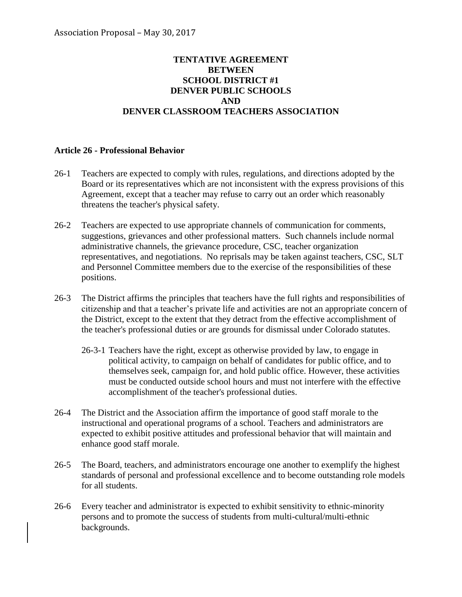## **TENTATIVE AGREEMENT BETWEEN SCHOOL DISTRICT #1 DENVER PUBLIC SCHOOLS AND DENVER CLASSROOM TEACHERS ASSOCIATION**

## **Article 26 - Professional Behavior**

- 26-1 Teachers are expected to comply with rules, regulations, and directions adopted by the Board or its representatives which are not inconsistent with the express provisions of this Agreement, except that a teacher may refuse to carry out an order which reasonably threatens the teacher's physical safety.
- 26-2 Teachers are expected to use appropriate channels of communication for comments, suggestions, grievances and other professional matters. Such channels include normal administrative channels, the grievance procedure, CSC, teacher organization representatives, and negotiations. No reprisals may be taken against teachers, CSC, SLT and Personnel Committee members due to the exercise of the responsibilities of these positions.
- 26-3 The District affirms the principles that teachers have the full rights and responsibilities of citizenship and that a teacher's private life and activities are not an appropriate concern of the District, except to the extent that they detract from the effective accomplishment of the teacher's professional duties or are grounds for dismissal under Colorado statutes.
	- 26-3-1 Teachers have the right, except as otherwise provided by law, to engage in political activity, to campaign on behalf of candidates for public office, and to themselves seek, campaign for, and hold public office. However, these activities must be conducted outside school hours and must not interfere with the effective accomplishment of the teacher's professional duties.
- 26-4 The District and the Association affirm the importance of good staff morale to the instructional and operational programs of a school. Teachers and administrators are expected to exhibit positive attitudes and professional behavior that will maintain and enhance good staff morale.
- 26-5 The Board, teachers, and administrators encourage one another to exemplify the highest standards of personal and professional excellence and to become outstanding role models for all students.
- 26-6 Every teacher and administrator is expected to exhibit sensitivity to ethnic-minority persons and to promote the success of students from multi-cultural/multi-ethnic backgrounds.